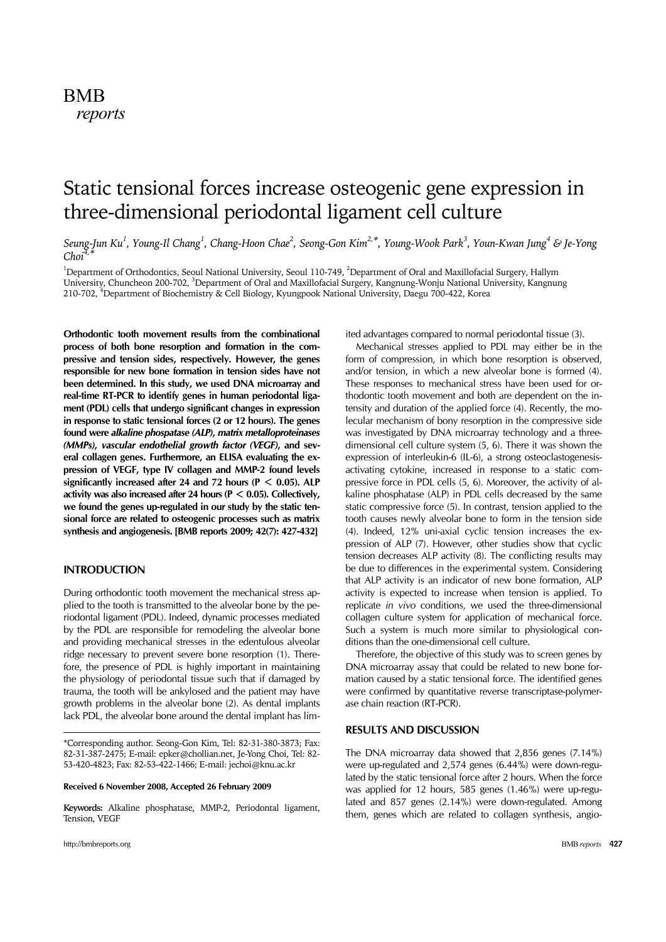# BMB *reports*

# Static tensional forces increase osteogenic gene expression in three-dimensional periodontal ligament cell culture

Seung-Jun Ku<sup>1</sup>, Young-Il Chang<sup>1</sup>, Chang-Hoon Chae<sup>2</sup>, Seong-Gon Kim<sup>2,\*</sup>, Young-Wook Park<sup>3</sup>, Youn-Kwan Jung<sup>4</sup> & Je-Yong *Choi4,\**

<sup>1</sup>Department of Orthodontics, Seoul National University, Seoul 110-749, <sup>2</sup>Department of Oral and Maxillofacial Surgery, Hallym University, Chuncheon 200-702, <sup>3</sup>Department of Oral and Maxillofacial Surgery, Kangnung-Wonju National University, Kangnung 210-702, 4 Department of Biochemistry & Cell Biology, Kyungpook National University, Daegu 700-422, Korea

**Orthodontic tooth movement results from the combinational process of both bone resorption and formation in the compressive and tension sides, respectively. However, the genes responsible for new bone formation in tension sides have not been determined. In this study, we used DNA microarray and real-time RT-PCR to identify genes in human periodontal ligament (PDL) cells that undergo significant changes in expression in response to static tensional forces (2 or 12 hours). The genes found were** *alkaline phospatase (ALP)***,** *matrix metalloproteinases (MMPs)***,** *vascular endothelial growth factor (VEGF)***, and several collagen genes. Furthermore, an ELISA evaluating the expression of VEGF, type IV collagen and MMP-2 found levels significantly increased after 24 and 72 hours (P** < **0.05). ALP activity was also increased after 24 hours (P** < **0.05). Collectively, we found the genes up-regulated in our study by the static tensional force are related to osteogenic processes such as matrix synthesis and angiogenesis. [BMB reports 2009; 42(7): 427-432]**

# **INTRODUCTION**

During orthodontic tooth movement the mechanical stress applied to the tooth is transmitted to the alveolar bone by the periodontal ligament (PDL). Indeed, dynamic processes mediated by the PDL are responsible for remodeling the alveolar bone and providing mechanical stresses in the edentulous alveolar ridge necessary to prevent severe bone resorption (1). Therefore, the presence of PDL is highly important in maintaining the physiology of periodontal tissue such that if damaged by trauma, the tooth will be ankylosed and the patient may have growth problems in the alveolar bone (2). As dental implants lack PDL, the alveolar bone around the dental implant has lim-

**Received 6 November 2008, Accepted 26 February 2009**

**Keywords:** Alkaline phosphatase, MMP-2, Periodontal ligament, Tension, VEGF

ited advantages compared to normal periodontal tissue (3).

 Mechanical stresses applied to PDL may either be in the form of compression, in which bone resorption is observed, and/or tension, in which a new alveolar bone is formed (4). These responses to mechanical stress have been used for orthodontic tooth movement and both are dependent on the intensity and duration of the applied force (4). Recently, the molecular mechanism of bony resorption in the compressive side was investigated by DNA microarray technology and a threedimensional cell culture system (5, 6). There it was shown the expression of interleukin-6 (IL-6), a strong osteoclastogenesisactivating cytokine, increased in response to a static compressive force in PDL cells (5, 6). Moreover, the activity of alkaline phosphatase (ALP) in PDL cells decreased by the same static compressive force (5). In contrast, tension applied to the tooth causes newly alveolar bone to form in the tension side (4). Indeed, 12% uni-axial cyclic tension increases the expression of ALP (7). However, other studies show that cyclic tension decreases ALP activity (8). The conflicting results may be due to differences in the experimental system. Considering that ALP activity is an indicator of new bone formation, ALP activity is expected to increase when tension is applied. To replicate *in vivo* conditions, we used the three-dimensional collagen culture system for application of mechanical force. Such a system is much more similar to physiological conditions than the one-dimensional cell culture.

 Therefore, the objective of this study was to screen genes by DNA microarray assay that could be related to new bone formation caused by a static tensional force. The identified genes were confirmed by quantitative reverse transcriptase-polymerase chain reaction (RT-PCR).

#### **RESULTS AND DISCUSSION**

The DNA microarray data showed that 2,856 genes (7.14%) were up-regulated and 2,574 genes (6.44%) were down-regulated by the static tensional force after 2 hours. When the force was applied for 12 hours, 585 genes (1.46%) were up-regulated and 857 genes (2.14%) were down-regulated. Among them, genes which are related to collagen synthesis, angio-

<sup>\*</sup>Corresponding author. Seong-Gon Kim, Tel: 82-31-380-3873; Fax: 82-31-387-2475; E-mail: epker@chollian.net, Je-Yong Choi, Tel: 82- 53-420-4823; Fax: 82-53-422-1466; E-mail: jechoi@knu.ac.kr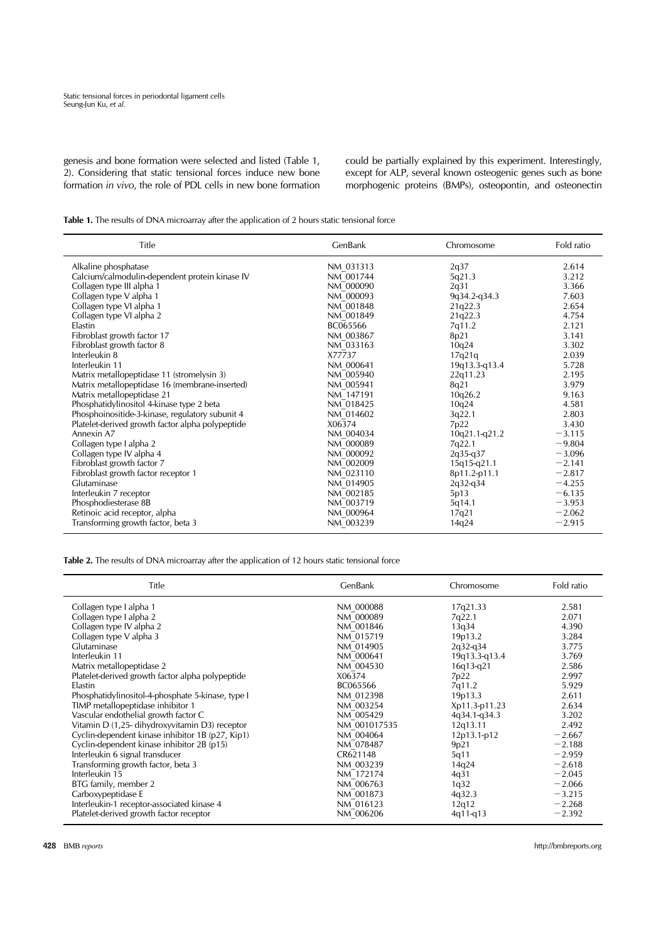genesis and bone formation were selected and listed (Table 1, 2). Considering that static tensional forces induce new bone formation *in vivo*, the role of PDL cells in new bone formation could be partially explained by this experiment. Interestingly, except for ALP, several known osteogenic genes such as bone morphogenic proteins (BMPs), osteopontin, and osteonectin

Table 1. The results of DNA microarray after the application of 2 hours static tensional force

| Title                                            | GenBank   | Chromosome    | Fold ratio |
|--------------------------------------------------|-----------|---------------|------------|
| Alkaline phosphatase                             | NM 031313 | 2q37          | 2.614      |
| Calcium/calmodulin-dependent protein kinase IV   | NM 001744 | 5q21.3        | 3.212      |
| Collagen type III alpha 1                        | NM 000090 | 2q31          | 3.366      |
| Collagen type V alpha 1                          | NM 000093 | 9q34.2-q34.3  | 7.603      |
| Collagen type VI alpha 1                         | NM 001848 | 21q22.3       | 2.654      |
| Collagen type VI alpha 2                         | NM 001849 | 21q22.3       | 4.754      |
| Elastin                                          | BC065566  | 7q11.2        | 2.121      |
| Fibroblast growth factor 17                      | NM 003867 | 8p21          | 3.141      |
| Fibroblast growth factor 8                       | NM 033163 | 10q24         | 3.302      |
| Interleukin 8                                    | X77737    | 17q21q        | 2.039      |
| Interleukin 11                                   | NM 000641 | 19q13.3-q13.4 | 5.728      |
| Matrix metallopeptidase 11 (stromelysin 3)       | NM 005940 | 22q11.23      | 2.195      |
| Matrix metallopeptidase 16 (membrane-inserted)   | NM 005941 | 8q21          | 3.979      |
| Matrix metallopeptidase 21                       | NM 147191 | 10q26.2       | 9.163      |
| Phosphatidylinositol 4-kinase type 2 beta        | NM 018425 | 10q24         | 4.581      |
| Phosphoinositide-3-kinase, regulatory subunit 4  | NM 014602 | 3q22.1        | 2.803      |
| Platelet-derived growth factor alpha polypeptide | X06374    | 7p22          | 3.430      |
| Annexin A7                                       | NM 004034 | 10q21.1-q21.2 | $-3.115$   |
| Collagen type I alpha 2                          | NM 000089 | 7q22.1        | $-9.804$   |
| Collagen type IV alpha 4                         | NM 000092 | $2q35-q37$    | $-3.096$   |
| Fibroblast growth factor 7                       | NM 002009 | 15q15-q21.1   | $-2.141$   |
| Fibroblast growth factor receptor 1              | NM 023110 | 8p11.2-p11.1  | $-2.817$   |
| Glutaminase                                      | NM 014905 | $2q32-q34$    | $-4.255$   |
| Interleukin 7 receptor                           | NM 002185 | 5p13          | $-6.135$   |
| Phosphodiesterase 8B                             | NM 003719 | 5q14.1        | $-3.953$   |
| Retinoic acid receptor, alpha                    | NM 000964 | 17q21         | $-2.062$   |
| Transforming growth factor, beta 3               | NM 003239 | 14q24         | $-2.915$   |

**Table 2.** The results of DNA microarray after the application of 12 hours static tensional force

| Title                                             | GenBank      | Chromosome    | Fold ratio |
|---------------------------------------------------|--------------|---------------|------------|
| Collagen type I alpha 1                           | NM 000088    | 17q21.33      | 2.581      |
| Collagen type I alpha 2                           | NM 000089    | 7q22.1        | 2.071      |
| Collagen type IV alpha 2                          | NM 001846    | 13q34         | 4.390      |
| Collagen type V alpha 3                           | NM 015719    | 19p13.2       | 3.284      |
| Glutaminase                                       | NM 014905    | $2q32-q34$    | 3.775      |
| Interleukin 11                                    | NM 000641    | 19q13.3-q13.4 | 3.769      |
| Matrix metallopeptidase 2                         | NM 004530    | $16q13-q21$   | 2.586      |
| Platelet-derived growth factor alpha polypeptide  | X06374       | 7p22          | 2.997      |
| Elastin                                           | BC065566     | 7q11.2        | 5.929      |
| Phosphatidylinositol-4-phosphate 5-kinase, type I | NM 012398    | 19p13.3       | 2.611      |
| TIMP metallopeptidase inhibitor 1                 | NM 003254    | Xp11.3-p11.23 | 2.634      |
| Vascular endothelial growth factor C              | NM 005429    | 4q34.1-q34.3  | 3.202      |
| Vitamin D (1,25- dihydroxyvitamin D3) receptor    | NM 001017535 | 12q13.11      | 2.492      |
| Cyclin-dependent kinase inhibitor 1B (p27, Kip1)  | NM 004064    | 12p13.1-p12   | $-2.667$   |
| Cyclin-dependent kinase inhibitor 2B (p15)        | NM 078487    | 9p21          | $-2.188$   |
| Interleukin 6 signal transducer                   | CR621148     | 5q11          | $-2.959$   |
| Transforming growth factor, beta 3                | NM 003239    | 14q24         | $-2.618$   |
| Interleukin 15                                    | NM 172174    | 4q31          | $-2.045$   |
| BTG family, member 2                              | NM 006763    | 1q32          | $-2.066$   |
| Carboxypeptidase E                                | NM 001873    | 4q32.3        | $-3.215$   |
| Interleukin-1 receptor-associated kinase 4        | NM 016123    | 12q12         | $-2.268$   |
| Platelet-derived growth factor receptor           | NM 006206    | $4q11-q13$    | $-2.392$   |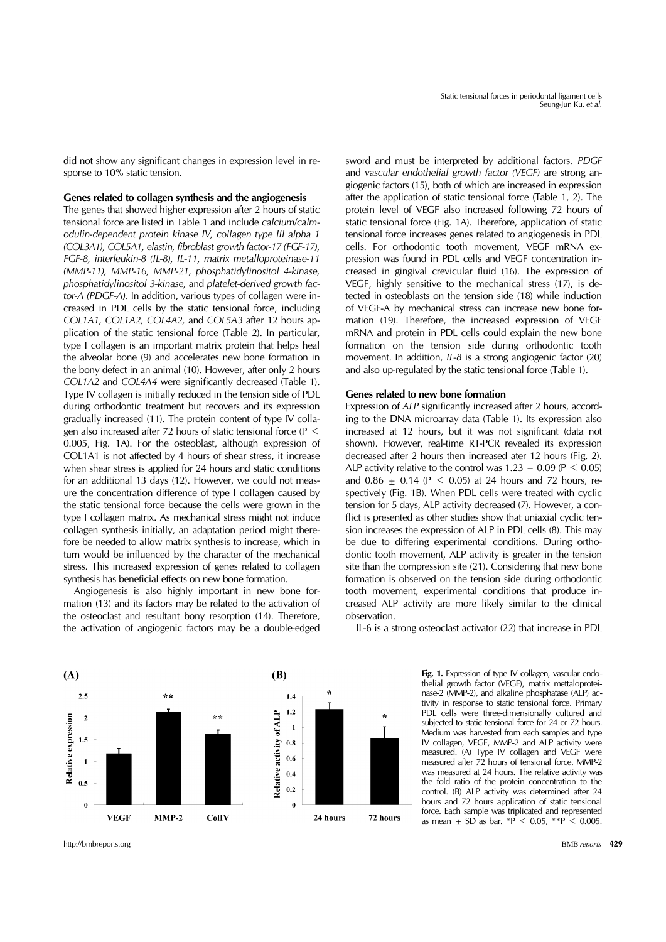did not show any significant changes in expression level in response to 10% static tension.

#### **Genes related to collagen synthesis and the angiogenesis**

The genes that showed higher expression after 2 hours of static tensional force are listed in Table 1 and include *calcium/calmodulin-dependent protein kinase IV, collagen type III alpha 1 (COL3A1), COL5A1, elastin, fibroblast growth factor-17 (FGF-17), FGF-8, interleukin-8 (IL-8), IL-11, matrix metalloproteinase-11 (MMP-11), MMP-16, MMP-21, phosphatidylinositol 4-kinase, phosphatidylinositol 3-kinase,* and *platelet-derived growth factor-A (PDGF-A)*. In addition, various types of collagen were increased in PDL cells by the static tensional force, including *COL1A1, COL1A2, COL4A2,* and *COL5A3* after 12 hours application of the static tensional force (Table 2). In particular, type I collagen is an important matrix protein that helps heal the alveolar bone (9) and accelerates new bone formation in the bony defect in an animal (10). However, after only 2 hours *COL1A2* and *COL4A4* were significantly decreased (Table 1). Type IV collagen is initially reduced in the tension side of PDL during orthodontic treatment but recovers and its expression gradually increased (11). The protein content of type IV collagen also increased after 72 hours of static tensional force (P < 0.005, Fig. 1A). For the osteoblast, although expression of COL1A1 is not affected by 4 hours of shear stress, it increase when shear stress is applied for 24 hours and static conditions for an additional 13 days (12). However, we could not measure the concentration difference of type I collagen caused by the static tensional force because the cells were grown in the type I collagen matrix. As mechanical stress might not induce collagen synthesis initially, an adaptation period might therefore be needed to allow matrix synthesis to increase, which in turn would be influenced by the character of the mechanical stress. This increased expression of genes related to collagen synthesis has beneficial effects on new bone formation.

 Angiogenesis is also highly important in new bone formation (13) and its factors may be related to the activation of the osteoclast and resultant bony resorption (14). Therefore, the activation of angiogenic factors may be a double-edged sword and must be interpreted by additional factors. *PDGF* and *vascular endothelial growth factor (VEGF)* are strong angiogenic factors (15), both of which are increased in expression after the application of static tensional force (Table 1, 2). The protein level of VEGF also increased following 72 hours of static tensional force (Fig. 1A). Therefore, application of static tensional force increases genes related to angiogenesis in PDL cells. For orthodontic tooth movement, VEGF mRNA expression was found in PDL cells and VEGF concentration increased in gingival crevicular fluid (16). The expression of VEGF, highly sensitive to the mechanical stress (17), is detected in osteoblasts on the tension side (18) while induction of VEGF-A by mechanical stress can increase new bone formation (19). Therefore, the increased expression of VEGF mRNA and protein in PDL cells could explain the new bone formation on the tension side during orthodontic tooth movement. In addition, *IL-8* is a strong angiogenic factor (20) and also up-regulated by the static tensional force (Table 1).

# **Genes related to new bone formation**

Expression of *ALP* significantly increased after 2 hours, according to the DNA microarray data (Table 1). Its expression also increased at 12 hours, but it was not significant (data not shown). However, real-time RT-PCR revealed its expression decreased after 2 hours then increased ater 12 hours (Fig. 2). ALP activity relative to the control was  $1.23 + 0.09$  (P  $\leq$  0.05) and 0.86  $\pm$  0.14 (P < 0.05) at 24 hours and 72 hours, respectively (Fig. 1B). When PDL cells were treated with cyclic tension for 5 days, ALP activity decreased (7). However, a conflict is presented as other studies show that uniaxial cyclic tension increases the expression of ALP in PDL cells (8). This may be due to differing experimental conditions. During orthodontic tooth movement, ALP activity is greater in the tension site than the compression site (21). Considering that new bone formation is observed on the tension side during orthodontic tooth movement, experimental conditions that produce increased ALP activity are more likely similar to the clinical observation.



Fig. 1. Expression of type IV collagen, vascular endothelial growth factor (VEGF), matrix mettaloproteinase-2 (MMP-2), and alkaline phosphatase (ALP) activity in response to static tensional force. Primary PDL cells were three-dimensionally cultured and subjected to static tensional force for 24 or 72 hours. Medium was harvested from each samples and type IV collagen, VEGF, MMP-2 and ALP activity were measured. (A) Type IV collagen and VEGF were measured after 72 hours of tensional force. MMP-2 was measured at 24 hours. The relative activity was the fold ratio of the protein concentration to the control. (B) ALP activity was determined after 24 hours and 72 hours application of static tensional force. Each sample was triplicated and represented as mean + SD as bar.  $*P < 0.05$ ,  $*P < 0.005$ .



http://bmbreports.org BMB *reports* 429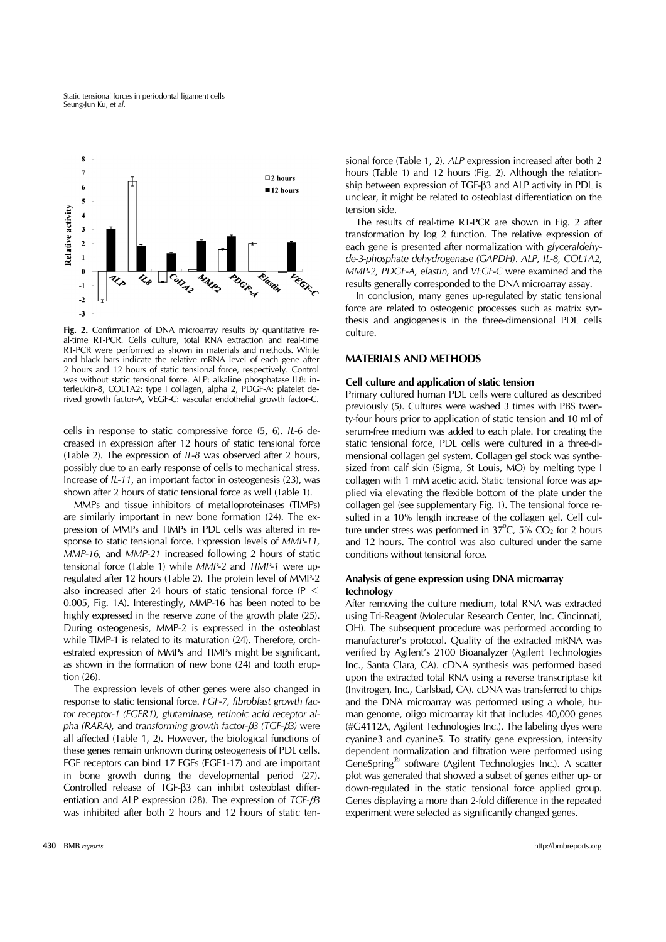Static tensional forces in periodontal ligament cells Seung-Jun Ku, *et al.*



Fig. 2. Confirmation of DNA microarray results by quantitative real-time RT-PCR. Cells culture, total RNA extraction and real-time RT-PCR were performed as shown in materials and methods. White and black bars indicate the relative mRNA level of each gene after 2 hours and 12 hours of static tensional force, respectively. Control was without static tensional force. ALP: alkaline phosphatase IL8: interleukin-8, COL1A2: type I collagen, alpha 2, PDGF-A: platelet derived growth factor-A, VEGF-C: vascular endothelial growth factor-C.

cells in response to static compressive force (5, 6). *IL-6* decreased in expression after 12 hours of static tensional force (Table 2). The expression of *IL-8* was observed after 2 hours, possibly due to an early response of cells to mechanical stress. Increase of *IL-11*, an important factor in osteogenesis (23), was shown after 2 hours of static tensional force as well (Table 1).

 MMPs and tissue inhibitors of metalloproteinases (TIMPs) are similarly important in new bone formation (24). The expression of MMPs and TIMPs in PDL cells was altered in response to static tensional force. Expression levels of *MMP-11, MMP-16,* and *MMP-21* increased following 2 hours of static tensional force (Table 1) while *MMP-2* and *TIMP-1* were upregulated after 12 hours (Table 2). The protein level of MMP-2 also increased after 24 hours of static tensional force (P < 0.005, Fig. 1A). Interestingly, MMP-16 has been noted to be highly expressed in the reserve zone of the growth plate (25). During osteogenesis, MMP-2 is expressed in the osteoblast while TIMP-1 is related to its maturation (24). Therefore, orchestrated expression of MMPs and TIMPs might be significant, as shown in the formation of new bone (24) and tooth eruption (26).

 The expression levels of other genes were also changed in response to static tensional force. *FGF-7, fibroblast growth factor receptor-1 (FGFR1), glutaminase, retinoic acid receptor alpha (RARA),* and *transforming growth factor-*β*3 (TGF-*β*3)* were all affected (Table 1, 2). However, the biological functions of these genes remain unknown during osteogenesis of PDL cells. FGF receptors can bind 17 FGFs (FGF1-17) and are important in bone growth during the developmental period (27). Controlled release of TGF-β3 can inhibit osteoblast differentiation and ALP expression (28). The expression of *TGF-*β*3*  was inhibited after both 2 hours and 12 hours of static tensional force (Table 1, 2). *ALP* expression increased after both 2 hours (Table 1) and 12 hours (Fig. 2). Although the relationship between expression of TGF-β3 and ALP activity in PDL is unclear, it might be related to osteoblast differentiation on the tension side.

 The results of real-time RT-PCR are shown in Fig. 2 after transformation by log 2 function. The relative expression of each gene is presented after normalization with *glyceraldehyde-3-phosphate dehydrogenase (GAPDH)*. *ALP, IL-8, COL1A2, MMP-2, PDGF-A, elastin,* and *VEGF-C* were examined and the results generally corresponded to the DNA microarray assay.

 In conclusion, many genes up-regulated by static tensional force are related to osteogenic processes such as matrix synthesis and angiogenesis in the three-dimensional PDL cells culture.

# **MATERIALS AND METHODS**

#### **Cell culture and application of static tension**

Primary cultured human PDL cells were cultured as described previously (5). Cultures were washed 3 times with PBS twenty-four hours prior to application of static tension and 10 ml of serum-free medium was added to each plate. For creating the static tensional force, PDL cells were cultured in a three-dimensional collagen gel system. Collagen gel stock was synthesized from calf skin (Sigma, St Louis, MO) by melting type I collagen with 1 mM acetic acid. Static tensional force was applied via elevating the flexible bottom of the plate under the collagen gel (see supplementary Fig. 1). The tensional force resulted in a 10% length increase of the collagen gel. Cell culture under stress was performed in  $37^{\circ}$ C,  $5\%$  CO<sub>2</sub> for 2 hours and 12 hours. The control was also cultured under the same conditions without tensional force.

# **Analysis of gene expression using DNA microarray technology**

After removing the culture medium, total RNA was extracted using Tri-Reagent (Molecular Research Center, Inc. Cincinnati, OH). The subsequent procedure was performed according to manufacturer's protocol. Quality of the extracted mRNA was verified by Agilent's 2100 Bioanalyzer (Agilent Technologies Inc., Santa Clara, CA). cDNA synthesis was performed based upon the extracted total RNA using a reverse transcriptase kit (Invitrogen, Inc., Carlsbad, CA). cDNA was transferred to chips and the DNA microarray was performed using a whole, human genome, oligo microarray kit that includes 40,000 genes (#G4112A, Agilent Technologies Inc.). The labeling dyes were cyanine3 and cyanine5. To stratify gene expression, intensity dependent normalization and filtration were performed using GeneSpring<sup>®</sup> software (Agilent Technologies Inc.). A scatter plot was generated that showed a subset of genes either up- or down-regulated in the static tensional force applied group. Genes displaying a more than 2-fold difference in the repeated experiment were selected as significantly changed genes.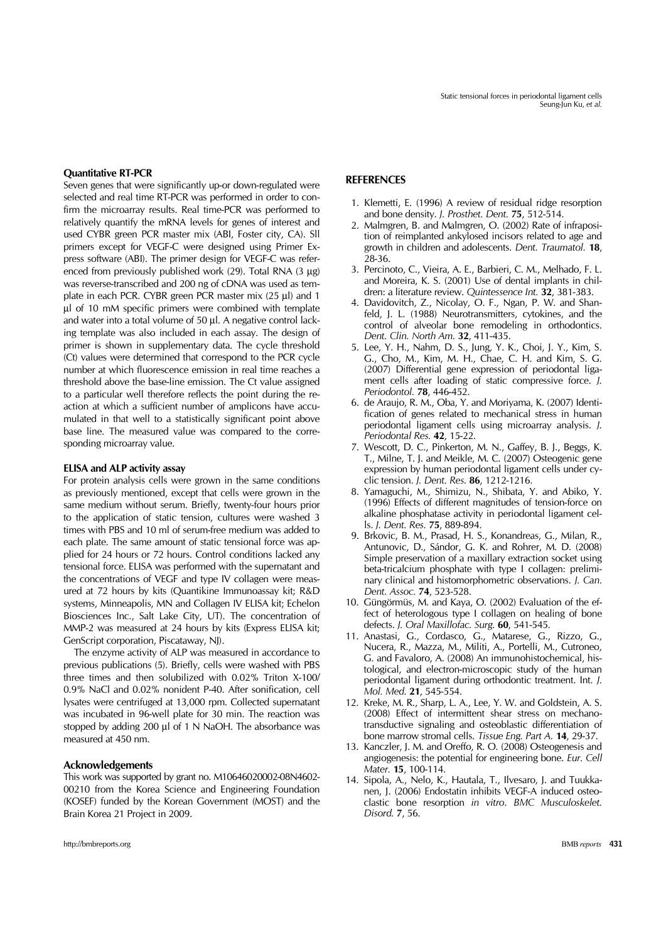### **Quantitative RT-PCR**

Seven genes that were significantly up-or down-regulated were selected and real time RT-PCR was performed in order to confirm the microarray results. Real time-PCR was performed to relatively quantify the mRNA levels for genes of interest and used CYBR green PCR master mix (ABI, Foster city, CA). Sll primers except for VEGF-C were designed using Primer Express software (ABI). The primer design for VEGF-C was referenced from previously published work (29). Total RNA (3 μg) was reverse-transcribed and 200 ng of cDNA was used as template in each PCR. CYBR green PCR master mix (25 μl) and 1 μl of 10 mM specific primers were combined with template and water into a total volume of 50 μl. A negative control lacking template was also included in each assay. The design of primer is shown in supplementary data. The cycle threshold (Ct) values were determined that correspond to the PCR cycle number at which fluorescence emission in real time reaches a threshold above the base-line emission. The Ct value assigned to a particular well therefore reflects the point during the reaction at which a sufficient number of amplicons have accumulated in that well to a statistically significant point above base line. The measured value was compared to the corresponding microarray value.

#### **ELISA and ALP activity assay**

For protein analysis cells were grown in the same conditions as previously mentioned, except that cells were grown in the same medium without serum. Briefly, twenty-four hours prior to the application of static tension, cultures were washed 3 times with PBS and 10 ml of serum-free medium was added to each plate. The same amount of static tensional force was applied for 24 hours or 72 hours. Control conditions lacked any tensional force. ELISA was performed with the supernatant and the concentrations of VEGF and type IV collagen were measured at 72 hours by kits (Quantikine Immunoassay kit; R&D systems, Minneapolis, MN and Collagen IV ELISA kit; Echelon Biosciences Inc., Salt Lake City, UT). The concentration of MMP-2 was measured at 24 hours by kits (Express ELISA kit; GenScript corporation, Piscataway, NJ).

 The enzyme activity of ALP was measured in accordance to previous publications (5). Briefly, cells were washed with PBS three times and then solubilized with 0.02% Triton X-100/ 0.9% NaCl and 0.02% nonident P-40. After sonification, cell lysates were centrifuged at 13,000 rpm. Collected supernatant was incubated in 96-well plate for 30 min. The reaction was stopped by adding 200 μl of 1 N NaOH. The absorbance was measured at 450 nm.

#### **Acknowledgements**

This work was supported by grant no. M10646020002-08N4602- 00210 from the Korea Science and Engineering Foundation (KOSEF) funded by the Korean Government (MOST) and the Brain Korea 21 Project in 2009.

# **REFERENCES**

- 1. Klemetti, E. (1996) A review of residual ridge resorption and bone density. *J. Prosthet. Dent.* **75**, 512-514.
- 2. Malmgren, B. and Malmgren, O. (2002) Rate of infraposition of reimplanted ankylosed incisors related to age and growth in children and adolescents. *Dent. Traumatol.* **18**, 28-36.
- 3. Percinoto, C., Vieira, A. E., Barbieri, C. M., Melhado, F. L. and Moreira, K. S. (2001) Use of dental implants in children: a literature review. *Quintessence Int.* **32**, 381-383.
- 4. Davidovitch, Z., Nicolay, O. F., Ngan, P. W. and Shanfeld, J. L. (1988) Neurotransmitters, cytokines, and the control of alveolar bone remodeling in orthodontics. *Dent. Clin. North Am.* **32**, 411-435.
- 5. Lee, Y. H., Nahm, D. S., Jung, Y. K., Choi, J. Y., Kim, S. G., Cho, M., Kim, M. H., Chae, C. H. and Kim, S. G. (2007) Differential gene expression of periodontal ligament cells after loading of static compressive force. *J. Periodontol.* **78**, 446-452.
- 6. de Araujo, R. M., Oba, Y. and Moriyama, K. (2007) Identification of genes related to mechanical stress in human periodontal ligament cells using microarray analysis. *J. Periodontal Res.* **42**, 15-22.
- 7. Wescott, D. C., Pinkerton, M. N., Gaffey, B. J., Beggs, K. T., Milne, T. J. and Meikle, M. C. (2007) Osteogenic gene expression by human periodontal ligament cells under cyclic tension. *J. Dent. Res.* **86**, 1212-1216.
- 8. Yamaguchi, M., Shimizu, N., Shibata, Y. and Abiko, Y. (1996) Effects of different magnitudes of tension-force on alkaline phosphatase activity in periodontal ligament cells. *J. Dent. Res.* **75**, 889-894.
- 9. Brkovic, B. M., Prasad, H. S., Konandreas, G., Milan, R., Antunovic, D., Sándor, G. K. and Rohrer, M. D. (2008) Simple preservation of a maxillary extraction socket using beta-tricalcium phosphate with type I collagen: preliminary clinical and histomorphometric observations. *J. Can. Dent. Assoc.* **74**, 523-528.
- 10. Güngörmüs, M. and Kaya, O. (2002) Evaluation of the effect of heterologous type I collagen on healing of bone defects. *J. Oral Maxillofac. Surg.* **60**, 541-545.
- 11. Anastasi, G., Cordasco, G., Matarese, G., Rizzo, G., Nucera, R., Mazza, M., Militi, A., Portelli, M., Cutroneo, G. and Favaloro, A. (2008) An immunohistochemical, histological, and electron-microscopic study of the human periodontal ligament during orthodontic treatment. Int. *J. Mol. Med.* **21**, 545-554.
- 12. Kreke, M. R., Sharp, L. A., Lee, Y. W. and Goldstein, A. S. (2008) Effect of intermittent shear stress on mechanotransductive signaling and osteoblastic differentiation of bone marrow stromal cells. *Tissue Eng. Part A.* **14**, 29-37.
- 13. Kanczler, J. M. and Oreffo, R. O. (2008) Osteogenesis and angiogenesis: the potential for engineering bone. *Eur. Cell Mater.* **15**, 100-114.
- 14. Sipola, A., Nelo, K., Hautala, T., Ilvesaro, J. and Tuukkanen, J. (2006) Endostatin inhibits VEGF-A induced osteoclastic bone resorption *in vitro*. *BMC Musculoskelet. Disord.* **7**, 56.